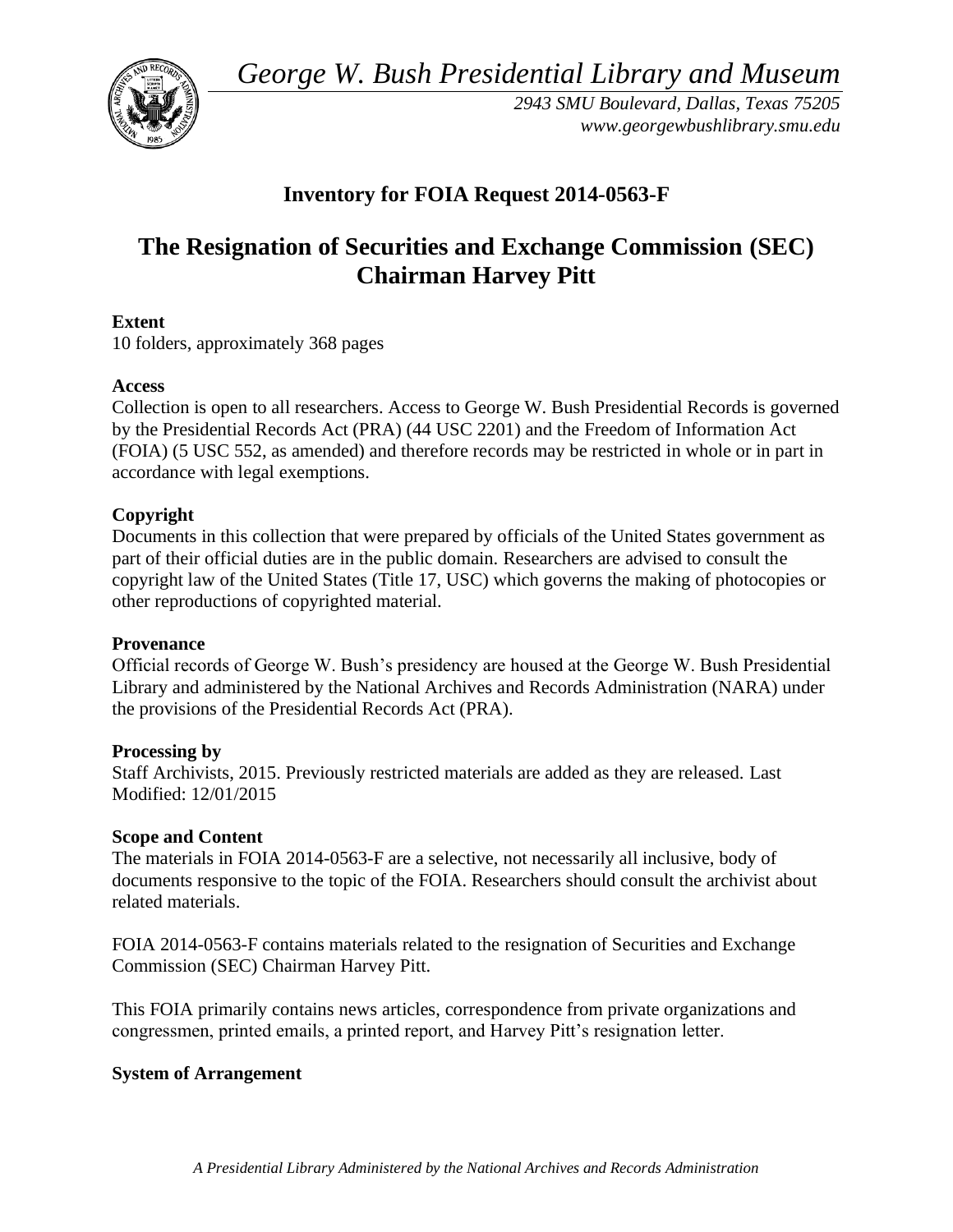*George W. Bush Presidential Library and Museum* 



*2943 SMU Boulevard, Dallas, Texas 75205 <www.georgewbushlibrary.smu.edu>* 

## **Inventory for FOIA Request 2014-0563-F**

# **The Resignation of Securities and Exchange Commission (SEC) Chairman Harvey Pitt**

### **Extent**

10 folders, approximately 368 pages

#### **Access**

Collection is open to all researchers. Access to George W. Bush Presidential Records is governed by the Presidential Records Act (PRA) (44 USC 2201) and the Freedom of Information Act (FOIA) (5 USC 552, as amended) and therefore records may be restricted in whole or in part in accordance with legal exemptions.

### **Copyright**

Documents in this collection that were prepared by officials of the United States government as part of their official duties are in the public domain. Researchers are advised to consult the copyright law of the United States (Title 17, USC) which governs the making of photocopies or other reproductions of copyrighted material.

#### **Provenance**

Official records of George W. Bush's presidency are housed at the George W. Bush Presidential Library and administered by the National Archives and Records Administration (NARA) under the provisions of the Presidential Records Act (PRA).

#### **Processing by**

 Modified: 12/01/2015 Staff Archivists, 2015. Previously restricted materials are added as they are released. Last

#### **Scope and Content**

 documents responsive to the topic of the FOIA. Researchers should consult the archivist about The materials in FOIA 2014-0563-F are a selective, not necessarily all inclusive, body of related materials.

FOIA 2014-0563-F contains materials related to the resignation of Securities and Exchange Commission (SEC) Chairman Harvey Pitt.

This FOIA primarily contains news articles, correspondence from private organizations and congressmen, printed emails, a printed report, and Harvey Pitt's resignation letter.

#### **System of Arrangement**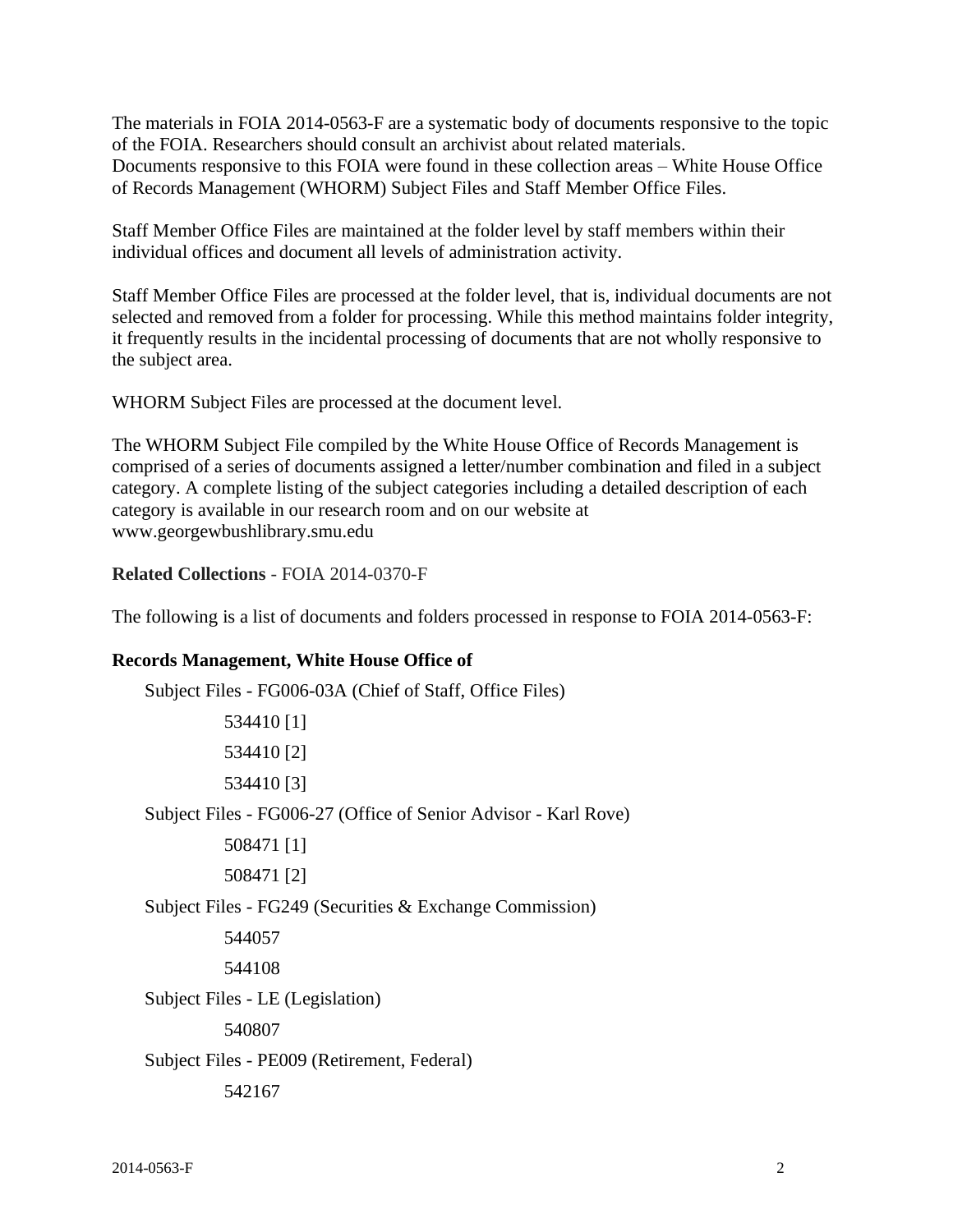The materials in FOIA 2014-0563-F are a systematic body of documents responsive to the topic of the FOIA. Researchers should consult an archivist about related materials. Documents responsive to this FOIA were found in these collection areas – White House Office of Records Management (WHORM) Subject Files and Staff Member Office Files.

 Staff Member Office Files are maintained at the folder level by staff members within their individual offices and document all levels of administration activity.

Staff Member Office Files are processed at the folder level, that is, individual documents are not selected and removed from a folder for processing. While this method maintains folder integrity, it frequently results in the incidental processing of documents that are not wholly responsive to the subject area.

WHORM Subject Files are processed at the document level.

 The WHORM Subject File compiled by the White House Office of Records Management is comprised of a series of documents assigned a letter/number combination and filed in a subject category. A complete listing of the subject categories including a detailed description of each category is available in our research room and on our website at <www.georgewbushlibrary.smu.edu>

**Related Collections** - FOIA 2014-0370-F

The following is a list of documents and folders processed in response to FOIA 2014-0563-F:

#### **Records Management, White House Office of**

| Subject Files - FG006-03A (Chief of Staff, Office Files)        |
|-----------------------------------------------------------------|
| 534410 [1]                                                      |
| 534410 [2]                                                      |
| 534410 [3]                                                      |
| Subject Files - FG006-27 (Office of Senior Advisor - Karl Rove) |
| 508471 [1]                                                      |
| 508471 [2]                                                      |
| Subject Files - FG249 (Securities & Exchange Commission)        |
| 544057                                                          |
| 544108                                                          |
| Subject Files - LE (Legislation)                                |
| 540807                                                          |
| Subject Files - PE009 (Retirement, Federal)                     |
| 542167                                                          |